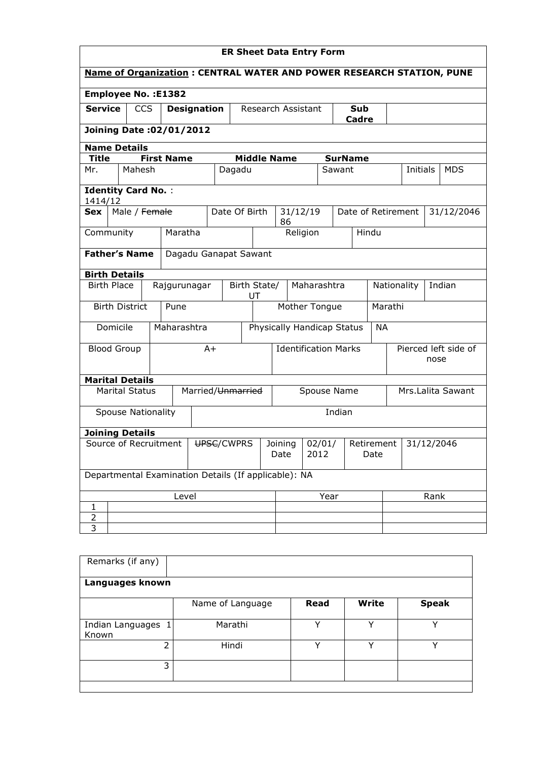| <b>ER Sheet Data Entry Form</b>                                             |                                               |                        |                                                      |                    |                    |                 |                |                                  |                    |                             |                       |                    |                              |  |            |
|-----------------------------------------------------------------------------|-----------------------------------------------|------------------------|------------------------------------------------------|--------------------|--------------------|-----------------|----------------|----------------------------------|--------------------|-----------------------------|-----------------------|--------------------|------------------------------|--|------------|
| <b>Name of Organization: CENTRAL WATER AND POWER RESEARCH STATION, PUNE</b> |                                               |                        |                                                      |                    |                    |                 |                |                                  |                    |                             |                       |                    |                              |  |            |
| <b>Employee No.: E1382</b>                                                  |                                               |                        |                                                      |                    |                    |                 |                |                                  |                    |                             |                       |                    |                              |  |            |
| <b>Service</b>                                                              |                                               | <b>CCS</b>             |                                                      | <b>Designation</b> |                    |                 |                | Research Assistant               |                    |                             | Sub<br>Cadre          |                    |                              |  |            |
| Joining Date: 02/01/2012                                                    |                                               |                        |                                                      |                    |                    |                 |                |                                  |                    |                             |                       |                    |                              |  |            |
| <b>Name Details</b>                                                         |                                               |                        |                                                      |                    |                    |                 |                |                                  |                    |                             |                       |                    |                              |  |            |
| <b>Title</b>                                                                |                                               |                        | <b>First Name</b>                                    |                    |                    |                 |                | <b>Middle Name</b>               |                    |                             | <b>SurName</b>        |                    |                              |  |            |
| Mr.                                                                         |                                               | Mahesh                 |                                                      |                    |                    | Dagadu          |                |                                  |                    | Sawant                      |                       |                    | Initials                     |  | <b>MDS</b> |
| <b>Identity Card No.:</b><br>1414/12                                        |                                               |                        |                                                      |                    |                    |                 |                |                                  |                    |                             |                       |                    |                              |  |            |
| <b>Sex</b>                                                                  |                                               | Male / Female          |                                                      |                    |                    | Date Of Birth   |                | 31/12/19<br>86                   |                    |                             |                       | Date of Retirement |                              |  | 31/12/2046 |
| Community                                                                   |                                               |                        | Maratha                                              |                    |                    |                 |                |                                  | Religion           |                             |                       | Hindu              |                              |  |            |
|                                                                             | <b>Father's Name</b><br>Dagadu Ganapat Sawant |                        |                                                      |                    |                    |                 |                |                                  |                    |                             |                       |                    |                              |  |            |
|                                                                             | <b>Birth Details</b>                          |                        |                                                      |                    |                    |                 |                |                                  |                    |                             |                       |                    |                              |  |            |
| <b>Birth Place</b><br>Rajgurunagar                                          |                                               |                        |                                                      |                    | Birth State/<br>UT |                 | Maharashtra    |                                  |                    |                             | Indian<br>Nationality |                    |                              |  |            |
|                                                                             |                                               | <b>Birth District</b>  | Pune                                                 |                    |                    |                 |                | Mother Tongue                    |                    |                             |                       | Marathi            |                              |  |            |
|                                                                             | Domicile                                      |                        | Maharashtra                                          |                    |                    |                 |                | Physically Handicap Status       |                    |                             |                       | <b>NA</b>          |                              |  |            |
|                                                                             | <b>Blood Group</b>                            |                        |                                                      |                    | $A+$               |                 |                |                                  |                    | <b>Identification Marks</b> |                       |                    | Pierced left side of<br>nose |  |            |
|                                                                             |                                               | <b>Marital Details</b> |                                                      |                    |                    |                 |                |                                  |                    |                             |                       |                    |                              |  |            |
|                                                                             |                                               | <b>Marital Status</b>  |                                                      |                    | Married/Unmarried  |                 |                | Mrs.Lalita Sawant<br>Spouse Name |                    |                             |                       |                    |                              |  |            |
|                                                                             |                                               | Spouse Nationality     |                                                      |                    |                    |                 |                |                                  |                    | Indian                      |                       |                    |                              |  |            |
|                                                                             |                                               | <b>Joining Details</b> |                                                      |                    |                    |                 |                |                                  |                    |                             |                       |                    |                              |  |            |
| Source of Recruitment<br>UPSC/CWPRS                                         |                                               |                        |                                                      |                    |                    | Joining<br>Date | 02/01/<br>2012 |                                  | Retirement<br>Date |                             | 31/12/2046            |                    |                              |  |            |
|                                                                             |                                               |                        | Departmental Examination Details (If applicable): NA |                    |                    |                 |                |                                  |                    |                             |                       |                    |                              |  |            |
| Level                                                                       |                                               |                        |                                                      |                    | Year               |                 |                |                                  |                    | Rank                        |                       |                    |                              |  |            |
| 1                                                                           |                                               |                        |                                                      |                    |                    |                 |                |                                  |                    |                             |                       |                    |                              |  |            |
| 2<br>3                                                                      |                                               |                        |                                                      |                    |                    |                 |                |                                  |                    |                             |                       |                    |                              |  |            |
|                                                                             |                                               |                        |                                                      |                    |                    |                 |                |                                  |                    |                             |                       |                    |                              |  |            |

| Remarks (if any)          |                  |             |              |              |  |  |  |  |  |  |  |
|---------------------------|------------------|-------------|--------------|--------------|--|--|--|--|--|--|--|
| Languages known           |                  |             |              |              |  |  |  |  |  |  |  |
|                           | Name of Language | <b>Read</b> | <b>Write</b> | <b>Speak</b> |  |  |  |  |  |  |  |
| Indian Languages<br>Known | Marathi          | v           | v            | v            |  |  |  |  |  |  |  |
| $\mathcal{P}$             | Hindi            | v           | v            | v            |  |  |  |  |  |  |  |
| 3                         |                  |             |              |              |  |  |  |  |  |  |  |
|                           |                  |             |              |              |  |  |  |  |  |  |  |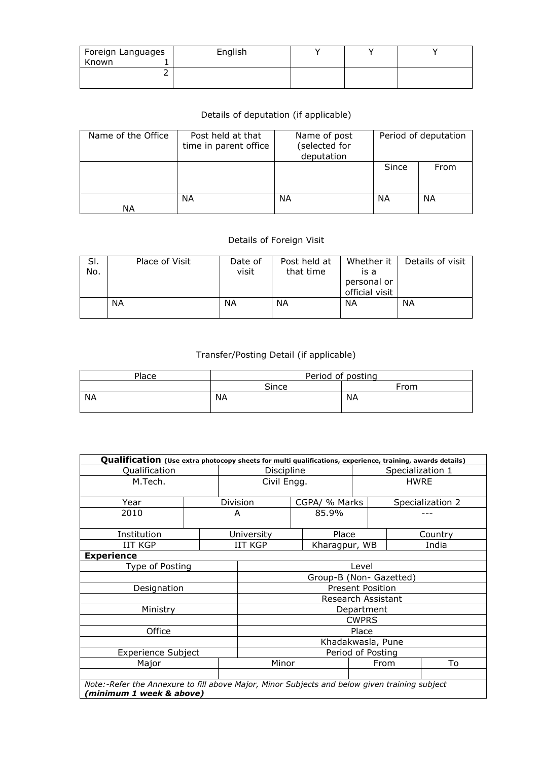| Foreign Languages<br>Known | English |  |  |
|----------------------------|---------|--|--|
|                            |         |  |  |

## Details of deputation (if applicable)

| Name of the Office | Post held at that<br>time in parent office | Name of post<br>(selected for<br>deputation | Period of deputation |      |  |
|--------------------|--------------------------------------------|---------------------------------------------|----------------------|------|--|
|                    |                                            |                                             | Since                | From |  |
|                    |                                            |                                             |                      |      |  |
|                    | ΝA                                         | NΑ                                          | ΝA                   | ΝA   |  |
| ΝA                 |                                            |                                             |                      |      |  |

## Details of Foreign Visit

| SI.<br>No. | Place of Visit | Date of<br>visit | Post held at<br>that time | Whether it<br>is a            | Details of visit |
|------------|----------------|------------------|---------------------------|-------------------------------|------------------|
|            |                |                  |                           | personal or<br>official visit |                  |
|            | <b>NA</b>      | ΝA               | ΝA                        | ΝA                            | ΝA               |

## Transfer/Posting Detail (if applicable)

| Place | Period of posting |           |  |  |  |  |  |
|-------|-------------------|-----------|--|--|--|--|--|
|       | Since             | From      |  |  |  |  |  |
| ΝA    | <b>NA</b>         | <b>NA</b> |  |  |  |  |  |

| Qualification (Use extra photocopy sheets for multi qualifications, experience, training, awards details) |  |                   |                         |  |               |                  |             |                  |  |  |
|-----------------------------------------------------------------------------------------------------------|--|-------------------|-------------------------|--|---------------|------------------|-------------|------------------|--|--|
| Qualification                                                                                             |  |                   | Discipline              |  |               | Specialization 1 |             |                  |  |  |
| M.Tech.                                                                                                   |  |                   | Civil Engg.             |  |               |                  | <b>HWRE</b> |                  |  |  |
|                                                                                                           |  |                   |                         |  |               |                  |             |                  |  |  |
| Year                                                                                                      |  |                   | Division                |  | CGPA/ % Marks |                  |             | Specialization 2 |  |  |
| 2010                                                                                                      |  |                   | A                       |  | 85.9%         |                  |             |                  |  |  |
| Institution                                                                                               |  |                   | University              |  | Place         |                  |             | Country          |  |  |
| <b>IIT KGP</b>                                                                                            |  |                   | <b>IIT KGP</b>          |  | Kharagpur, WB |                  |             | India            |  |  |
| <b>Experience</b>                                                                                         |  |                   |                         |  |               |                  |             |                  |  |  |
| Type of Posting                                                                                           |  |                   | Level                   |  |               |                  |             |                  |  |  |
|                                                                                                           |  |                   | Group-B (Non- Gazetted) |  |               |                  |             |                  |  |  |
| Designation                                                                                               |  |                   | <b>Present Position</b> |  |               |                  |             |                  |  |  |
|                                                                                                           |  |                   | Research Assistant      |  |               |                  |             |                  |  |  |
| Ministry                                                                                                  |  |                   | Department              |  |               |                  |             |                  |  |  |
|                                                                                                           |  |                   |                         |  |               | <b>CWPRS</b>     |             |                  |  |  |
| Office                                                                                                    |  |                   |                         |  |               | Place            |             |                  |  |  |
|                                                                                                           |  |                   | Khadakwasla, Pune       |  |               |                  |             |                  |  |  |
| <b>Experience Subject</b>                                                                                 |  | Period of Posting |                         |  |               |                  |             |                  |  |  |
| Major                                                                                                     |  |                   | Minor                   |  |               | From             |             | To               |  |  |
|                                                                                                           |  |                   |                         |  |               |                  |             |                  |  |  |
| Note:-Refer the Annexure to fill above Major, Minor Subjects and below given training subject             |  |                   |                         |  |               |                  |             |                  |  |  |
| (minimum 1 week & above)                                                                                  |  |                   |                         |  |               |                  |             |                  |  |  |